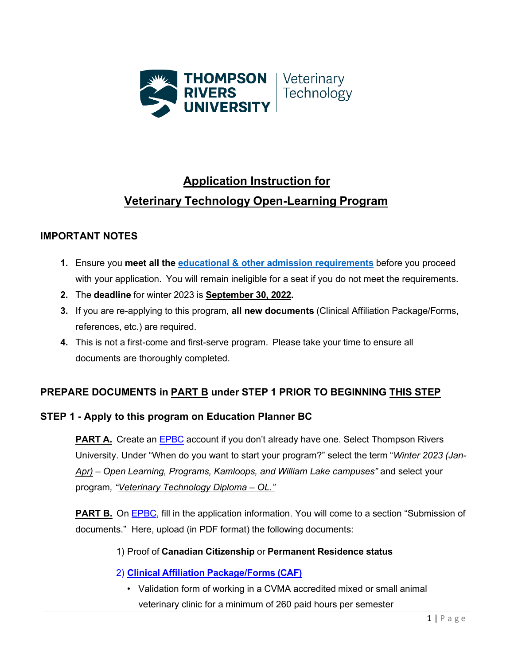

# **Application Instruction for Veterinary Technology Open-Learning Program**

## **IMPORTANT NOTES**

- **1.** Ensure you **meet all the educational [& other admission requirements](https://tru.ca/distance/programs/science/veterinary-technology/admission.html)** before you proceed with your application. You will remain ineligible for a seat if you do not meet the requirements.
- **2.** The **deadline** for winter 2023 is **September 30, 2022.**
- **3.** If you are re-applying to this program, **all new documents** (Clinical Affiliation Package/Forms, references, etc.) are required.
- **4.** This is not a first-come and first-serve program. Please take your time to ensure all documents are thoroughly completed.

# **PREPARE DOCUMENTS in PART B under STEP 1 PRIOR TO BEGINNING THIS STEP**

### **STEP 1 - Apply to this program on [Education Planner BC](https://apply.educationplannerbc.ca/apply/complete-application/tru/279CCE3F-3E9F-40FA-83B2-B43B456CABF0)**

**PART A.** Create an [EPBC](https://apply.educationplannerbc.ca/apply/complete-application/tru/279CCE3F-3E9F-40FA-83B2-B43B456CABF0) account if you don't already have one. Select Thompson Rivers University. Under "When do you want to start your program?" select the term "*Winter 2023 (Jan-Apr) – Open Learning, Programs, Kamloops, and William Lake campuses"* and select your program*, "Veterinary Technology Diploma – OL."*

**PART B.** On [EPBC,](https://apply.educationplannerbc.ca/apply/complete-application/tru/) fill in the application information. You will come to a section "Submission of documents." Here, upload (in PDF format) the following documents:

### 1) Proof of **Canadian Citizenship** or **Permanent Residence status**

- 2) **Clinical Affiliation [Package/Forms](https://tru.ca/__shared/assets/clinic-affiliation-form52727.pdf) (CAF)**
	- Validation form of working in a CVMA accredited mixed or small animal veterinary clinic for a minimum of 260 paid hours per semester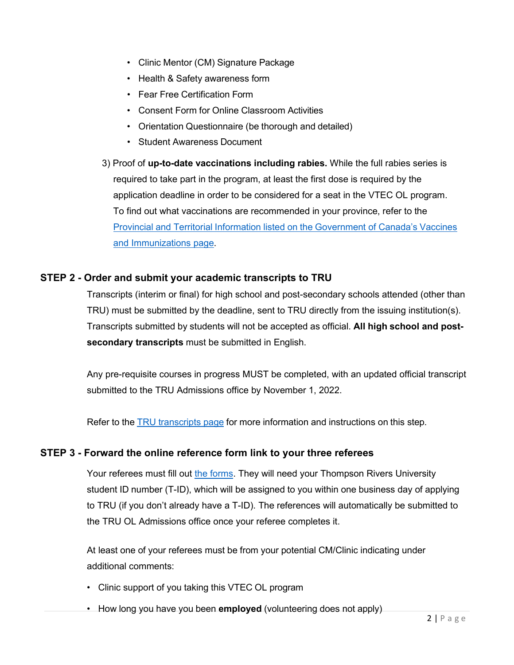- Clinic Mentor (CM) Signature Package
- Health & Safety awareness form
- Fear Free Certification Form
- Consent Form for Online Classroom Activities
- Orientation Questionnaire (be thorough and detailed)
- Student Awareness Document
- 3) Proof of **up-to-date vaccinations including rabies.** While the full rabies series is required to take part in the program, at least the first dose is required by the application deadline in order to be considered for a seat in the VTEC OL program. To find out what vaccinations are recommended in your province, refer to the Provincial and Territorial Information listed on the [Government](https://www.canada.ca/en/public-health/services/provincial-territorial-immunization-information/routine-vaccination-healthy-previously-immunized-adult.html) of Canada's Vaccines [and Immunizations page.](https://www.canada.ca/en/public-health/services/provincial-territorial-immunization-information/routine-vaccination-healthy-previously-immunized-adult.html)

#### **STEP 2 - Order and submit your academic transcripts to TRU**

Transcripts (interim or final) for high school and post-secondary schools attended (other than TRU) must be submitted by the deadline, sent to TRU directly from the issuing institution(s). Transcripts submitted by students will not be accepted as official. **All high school and postsecondary transcripts** must be submitted in English.

Any pre-requisite courses in progress MUST be completed, with an updated official transcript submitted to the TRU Admissions office by November 1, 2022.

Refer to the TRU [transcripts](https://www.tru.ca/future/admissions/undergrad/submit-transcript.html) page for more information and instructions on this step.

#### **STEP 3 - Forward the [online reference form link t](https://tru.ca/science/diplomas-certificates/vtech/diploma/admissionreq/vtec-reference-form.html)o your three referees**

Your referees must fill out [the forms.](https://tru.ca/science/diplomas-certificates/vtech/diploma/admissionreq/vtec-reference-form.html) They will need your Thompson Rivers University student ID number (T-ID), which will be assigned to you within one business day of applying to TRU (if you don't already have a T-ID). The references will automatically be submitted to the TRU OL Admissions office once your referee completes it.

At least one of your referees must be from your potential CM/Clinic indicating under additional comments:

- Clinic support of you taking this VTEC OL program
- How long you have you been **employed** (volunteering does not apply)